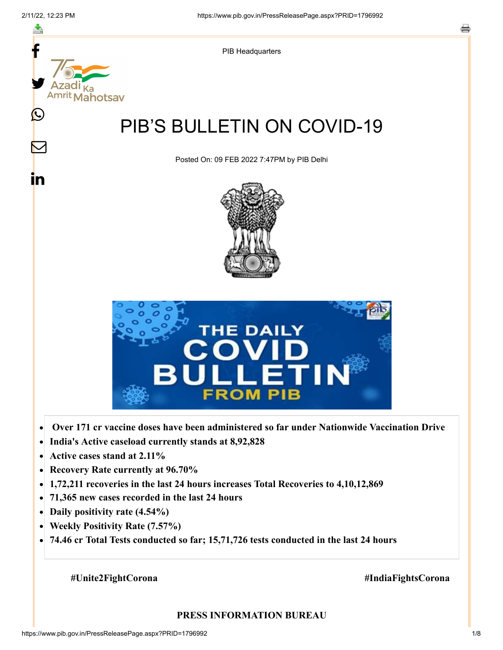

- **Active cases stand at 2.11%**  $\bullet$
- **Recovery Rate currently at 96.70%**  $\bullet$
- **1,72,211 recoveries in the last 24 hours increases Total Recoveries to 4,10,12,869**  $\bullet$
- **71,365 new cases recorded in the last 24 hours**  $\bullet$
- **Daily positivity rate (4.54%)**
- **Weekly Positivity Rate (7.57%)**  $\bullet$
- **74.46 cr Total Tests conducted so far; 15,71,726 tests conducted in the last 24 hours**  $\bullet$

 **#Unite2FightCorona #IndiaFightsCorona**

#### **PRESS INFORMATION BUREAU**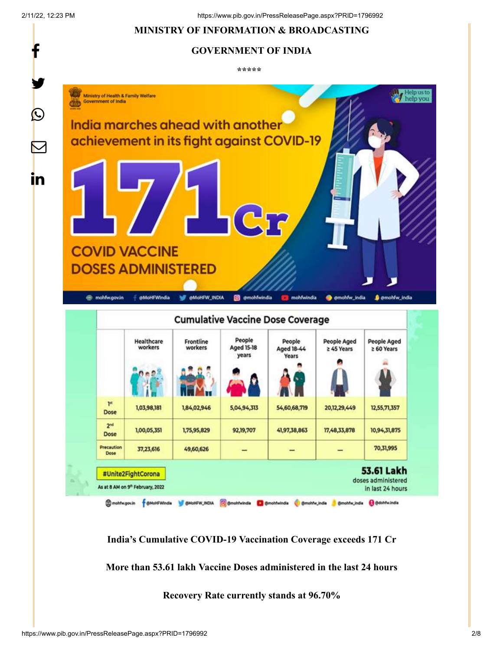f

 $\boldsymbol{\mathcal{Q}}$ 

**in** 

2/11/22, 12:23 PM https://www.pib.gov.in/PressReleasePage.aspx?PRID=1796992

# **MINISTRY OF INFORMATION & BROADCASTING**

### **GOVERNMENT OF INDIA**

**\*\*\*\*\*** 



Cmohtwgouin figMoHFWindle Michael Michael Comohtwindle Comohtwindle Comohtwindle Senothwindle Colontwindle

**India's Cumulative COVID-19 Vaccination Coverage exceeds 171 Cr**

**More than 53.61 lakh Vaccine Doses administered in the last 24 hours**

**Recovery Rate currently stands at 96.70%**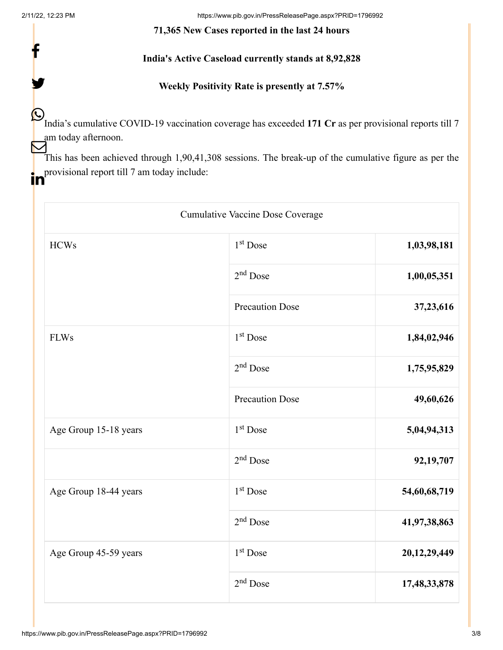f

y.

2/11/22, 12:23 PM https://www.pib.gov.in/PressReleasePage.aspx?PRID=1796992

#### **71,365 New Cases reported in the last 24 hours**

# **India's Active Caseload currently stands at 8,92,828**

## **Weekly Positivity Rate is presently at 7.57%**

India's cumulative COVID-19 vaccination coverage has exceeded **171 Cr** as per provisional reports till 7 am today afternoon.

This has been achieved through 1,90,41,308 sessions. The break-up of the cumulative figure as per the provisional report till 7 am today include:

| Cumulative Vaccine Dose Coverage |                        |              |  |
|----------------------------------|------------------------|--------------|--|
| <b>HCWs</b>                      | 1 <sup>st</sup> Dose   | 1,03,98,181  |  |
|                                  | $2nd$ Dose             | 1,00,05,351  |  |
|                                  | <b>Precaution Dose</b> | 37,23,616    |  |
| <b>FLWs</b>                      | $1st$ Dose             | 1,84,02,946  |  |
|                                  | $2nd$ Dose             | 1,75,95,829  |  |
|                                  | <b>Precaution Dose</b> | 49,60,626    |  |
| Age Group 15-18 years            | 1 <sup>st</sup> Dose   | 5,04,94,313  |  |
|                                  | $2nd$ Dose             | 92,19,707    |  |
| Age Group 18-44 years            | 1 <sup>st</sup> Dose   | 54,60,68,719 |  |
|                                  | $2nd$ Dose             | 41,97,38,863 |  |
| Age Group 45-59 years            | $1st$ Dose             | 20,12,29,449 |  |
|                                  | $2nd$ Dose             | 17,48,33,878 |  |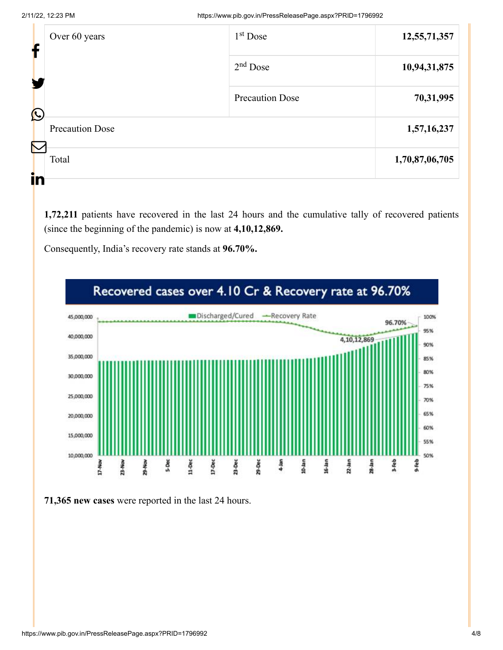| т                                                | Over 60 years | $1st$ Dose             | 12,55,71,357   |
|--------------------------------------------------|---------------|------------------------|----------------|
|                                                  |               | $2nd$ Dose             | 10,94,31,875   |
|                                                  |               | <b>Precaution Dose</b> | 70,31,995      |
| $\bigcirc$<br><b>Precaution Dose</b>             |               |                        | 1,57,16,237    |
| $\mathcal{N}% _{0}\left( \mathcal{N}_{0}\right)$ | Total         |                        | 1,70,87,06,705 |
| ir                                               |               |                        |                |

**1,72,211** patients have recovered in the last 24 hours and the cumulative tally of recovered patients (since the beginning of the pandemic) is now at **4,10,12,869.**

Consequently, India's recovery rate stands at **96.70%.**



**71,365 new cases** were reported in the last 24 hours.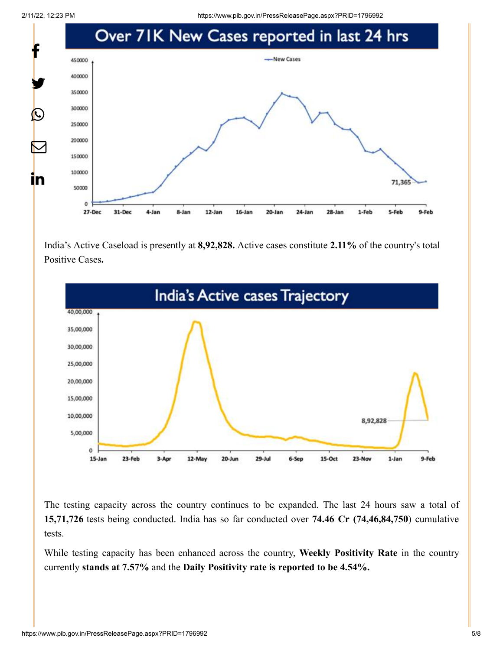2/11/22, 12:23 PM https://www.pib.gov.in/PressReleasePage.aspx?PRID=1796992



India's Active Caseload is presently at **8,92,828.** Active cases constitute **2.11%** of the country's total Positive Cases**.**



The testing capacity across the country continues to be expanded. The last 24 hours saw a total of **15,71,726** tests being conducted. India has so far conducted over **74.46 Cr (74,46,84,750**) cumulative tests.

While testing capacity has been enhanced across the country, **Weekly Positivity Rate** in the country currently **stands at 7.57%** and the **Daily Positivity rate is reported to be 4.54%.**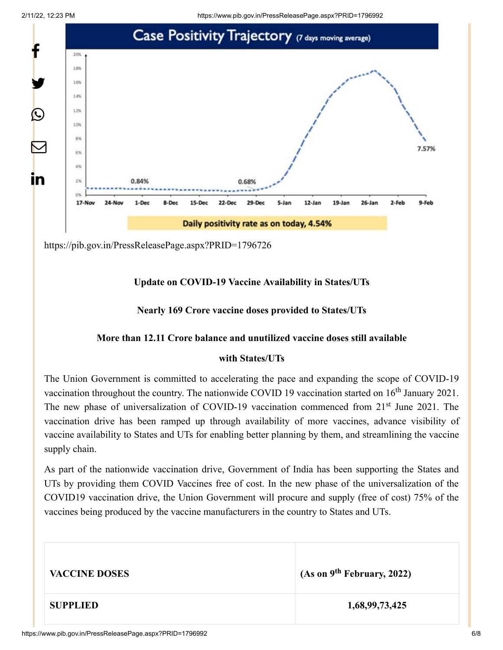

<https://pib.gov.in/PressReleasePage.aspx?PRID=1796726>

# **Update on COVID-19 Vaccine Availability in States/UTs**

#### **Nearly 169 Crore vaccine doses provided to States/UTs**

#### **More than 12.11 Crore balance and unutilized vaccine doses still available**

#### **with States/UTs**

The Union Government is committed to accelerating the pace and expanding the scope of COVID-19 vaccination throughout the country. The nationwide COVID 19 vaccination started on  $16<sup>th</sup>$  January 2021. The new phase of universalization of COVID-19 vaccination commenced from 21<sup>st</sup> June 2021. The vaccination drive has been ramped up through availability of more vaccines, advance visibility of vaccine availability to States and UTs for enabling better planning by them, and streamlining the vaccine supply chain.

As part of the nationwide vaccination drive, Government of India has been supporting the States and UTs by providing them COVID Vaccines free of cost. In the new phase of the universalization of the COVID19 vaccination drive, the Union Government will procure and supply (free of cost) 75% of the vaccines being produced by the vaccine manufacturers in the country to States and UTs.

| <b>VACCINE DOSES</b> | (As on $9^{th}$ February, 2022) |
|----------------------|---------------------------------|
| <b>SUPPLIED</b>      | 1,68,99,73,425                  |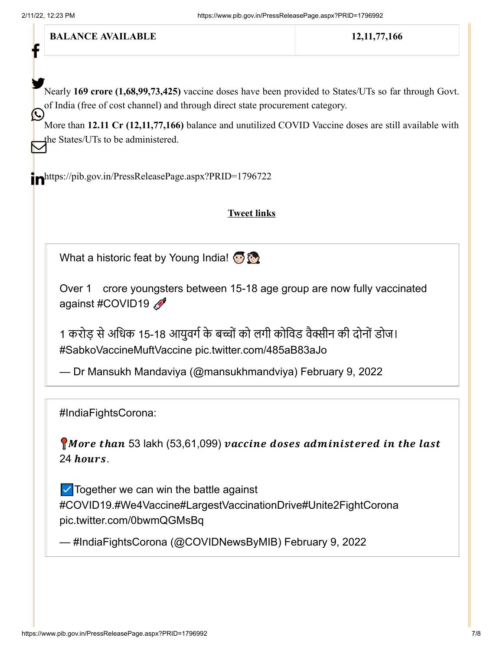f

**BALANCE AVAILABLE** 12,11,77,166

Nearly 169 crore (1,68,99,73,425) vaccine doses have been provided to States/UTs so far through Govt. of India (free of cost channel) and through direct state procurement category.  $\bigodot$ 

More than **12.11 Cr (12,11,77,166)** balance and unutilized COVID Vaccine doses are still available with the States/UTs to be administered.

<https://pib.gov.in/PressReleasePage.aspx?PRID=1796722>

# **Tweet links**

What a historic feat by Young India!

Over 1 crore youngsters between 15-18 age group are now fully vaccinated against [#COVID19](https://twitter.com/hashtag/COVID19?src=hash&ref_src=twsrc%5Etfw)

1 करोड़ से अधिक 15-18 आयुवर्ग के बच्चों को लगी कोविड वैक्सीन की दोनों डोज। [#SabkoVaccineMuftVaccine](https://twitter.com/hashtag/SabkoVaccineMuftVaccine?src=hash&ref_src=twsrc%5Etfw) [pic.twitter.com/485aB83aJo](https://t.co/485aB83aJo)

— Dr Mansukh Mandaviya (@mansukhmandviya) [February 9, 2022](https://twitter.com/mansukhmandviya/status/1491365628565135361?ref_src=twsrc%5Etfw)

[#IndiaFightsCorona](https://twitter.com/hashtag/IndiaFightsCorona?src=hash&ref_src=twsrc%5Etfw):

More than 53 lakh (53,61,099) vaccine doses administered in the last  $24$  hours.

 $\triangledown$  Together we can win the battle against [#COVID19](https://twitter.com/hashtag/COVID19?src=hash&ref_src=twsrc%5Etfw)[.#We4Vaccine](https://twitter.com/hashtag/We4Vaccine?src=hash&ref_src=twsrc%5Etfw)[#LargestVaccinationDrive](https://twitter.com/hashtag/LargestVaccinationDrive?src=hash&ref_src=twsrc%5Etfw)[#Unite2FightCorona](https://twitter.com/hashtag/Unite2FightCorona?src=hash&ref_src=twsrc%5Etfw) [pic.twitter.com/0bwmQGMsBq](https://t.co/0bwmQGMsBq)

— #IndiaFightsCorona (@COVIDNewsByMIB) [February 9, 2022](https://twitter.com/COVIDNewsByMIB/status/1491300833287634946?ref_src=twsrc%5Etfw)